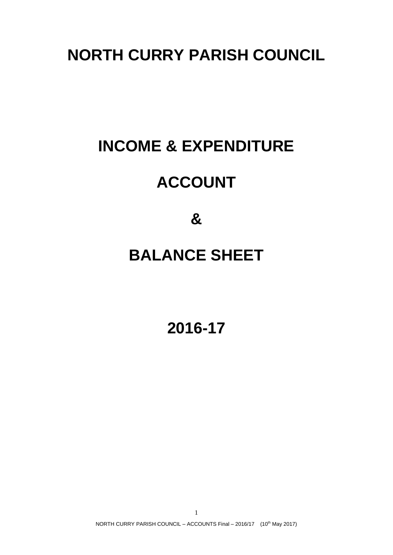### **NORTH CURRY PARISH COUNCIL**

# **INCOME & EXPENDITURE**

## **ACCOUNT**

**&**

### **BALANCE SHEET**

**2016-17**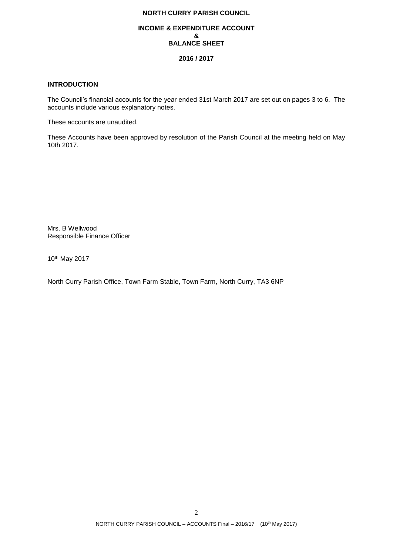### **NORTH CURRY PARISH COUNCIL**

#### **INCOME & EXPENDITURE ACCOUNT & BALANCE SHEET**

#### **2016 / 2017**

#### **INTRODUCTION**

The Council's financial accounts for the year ended 31st March 2017 are set out on pages 3 to 6. The accounts include various explanatory notes.

These accounts are unaudited.

These Accounts have been approved by resolution of the Parish Council at the meeting held on May 10th 2017.

Mrs. B Wellwood Responsible Finance Officer

10 th May 2017

North Curry Parish Office, Town Farm Stable, Town Farm, North Curry, TA3 6NP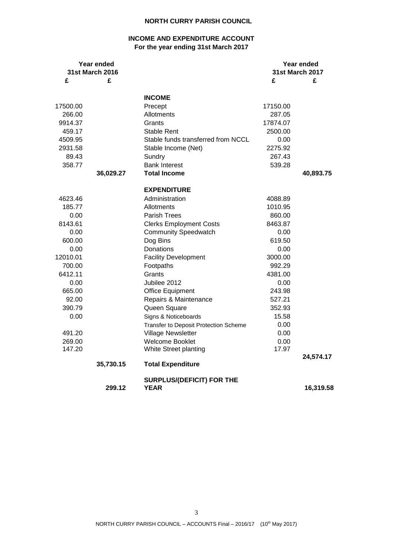#### **NORTH CURRY PARISH COUNCIL**

### **INCOME AND EXPENDITURE ACCOUNT For the year ending 31st March 2017**

| Year ended<br>31st March 2016 |           |                                          | Year ended<br><b>31st March 2017</b> |           |
|-------------------------------|-----------|------------------------------------------|--------------------------------------|-----------|
| £                             | £         |                                          | £                                    | £         |
|                               |           | <b>INCOME</b>                            |                                      |           |
| 17500.00                      |           | Precept                                  | 17150.00                             |           |
| 266.00                        |           | Allotments                               | 287.05                               |           |
| 9914.37                       |           | Grants                                   | 17874.07                             |           |
| 459.17                        |           | Stable Rent                              | 2500.00                              |           |
| 4509.95                       |           | Stable funds transferred from NCCL       | 0.00                                 |           |
| 2931.58                       |           | Stable Income (Net)                      | 2275.92                              |           |
| 89.43                         |           | Sundry                                   | 267.43                               |           |
| 358.77                        |           | <b>Bank Interest</b>                     | 539.28                               |           |
|                               | 36,029.27 | <b>Total Income</b>                      |                                      | 40,893.75 |
|                               |           | <b>EXPENDITURE</b>                       |                                      |           |
| 4623.46                       |           | Administration                           | 4088.89                              |           |
| 185.77                        |           | Allotments                               | 1010.95                              |           |
| 0.00                          |           | Parish Trees                             | 860.00                               |           |
| 8143.61                       |           | <b>Clerks Employment Costs</b>           | 8463.87                              |           |
| 0.00                          |           | <b>Community Speedwatch</b>              | 0.00                                 |           |
| 600.00                        |           | Dog Bins                                 | 619.50                               |           |
| 0.00                          |           | Donations                                | 0.00                                 |           |
| 12010.01                      |           | <b>Facility Development</b>              | 3000.00                              |           |
| 700.00                        |           | Footpaths                                | 992.29                               |           |
| 6412.11                       |           | Grants                                   | 4381.00                              |           |
| 0.00                          |           | Jubilee 2012                             | 0.00                                 |           |
| 665.00                        |           | Office Equipment                         | 243.98                               |           |
| 92.00                         |           | Repairs & Maintenance                    | 527.21                               |           |
| 390.79                        |           | Queen Square                             | 352.93                               |           |
| 0.00                          |           | Signs & Noticeboards                     | 15.58                                |           |
|                               |           | Transfer to Deposit Protection Scheme    | 0.00                                 |           |
| 491.20                        |           | <b>Village Newsletter</b>                | 0.00                                 |           |
| 269.00                        |           | Welcome Booklet                          | 0.00                                 |           |
| 147.20                        |           | White Street planting                    | 17.97                                |           |
|                               | 35,730.15 | <b>Total Expenditure</b>                 |                                      | 24,574.17 |
|                               | 299.12    | SURPLUS/(DEFICIT) FOR THE<br><b>YEAR</b> |                                      | 16,319.58 |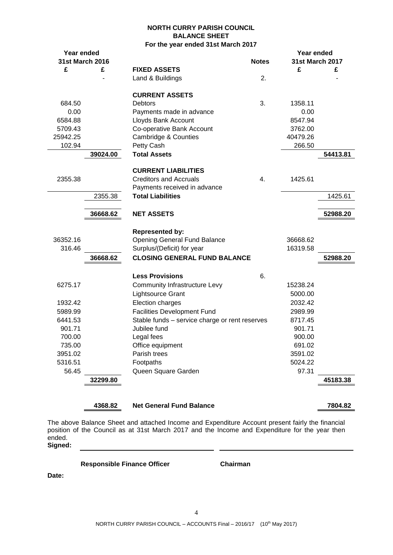#### **NORTH CURRY PARISH COUNCIL BALANCE SHEET For the year ended 31st March 2017**

| Year ended         |          |                                                |              | Year ended             |          |
|--------------------|----------|------------------------------------------------|--------------|------------------------|----------|
| 31st March 2016    |          |                                                | <b>Notes</b> | <b>31st March 2017</b> |          |
| £                  | £        | <b>FIXED ASSETS</b>                            |              | £                      | £        |
|                    |          | Land & Buildings                               | 2.           |                        |          |
|                    |          | <b>CURRENT ASSETS</b>                          |              |                        |          |
| 684.50             |          | <b>Debtors</b>                                 | 3.           | 1358.11                |          |
| 0.00               |          | Payments made in advance                       |              | 0.00                   |          |
| 6584.88            |          | Lloyds Bank Account                            |              | 8547.94                |          |
| 5709.43            |          | Co-operative Bank Account                      |              | 3762.00                |          |
| 25942.25           |          | Cambridge & Counties                           |              | 40479.26               |          |
| 102.94             |          | Petty Cash                                     |              | 266.50                 |          |
|                    | 39024.00 | <b>Total Assets</b>                            |              |                        | 54413.81 |
|                    |          | <b>CURRENT LIABILITIES</b>                     |              |                        |          |
| 2355.38            |          | <b>Creditors and Accruals</b>                  | 4.           | 1425.61                |          |
|                    |          | Payments received in advance                   |              |                        |          |
|                    | 2355.38  | <b>Total Liabilities</b>                       |              |                        | 1425.61  |
|                    | 36668.62 | <b>NET ASSETS</b>                              |              |                        | 52988.20 |
|                    |          | <b>Represented by:</b>                         |              |                        |          |
| 36352.16           |          | <b>Opening General Fund Balance</b>            |              | 36668.62               |          |
| 316.46             |          | Surplus/(Deficit) for year                     |              | 16319.58               |          |
|                    | 36668.62 | <b>CLOSING GENERAL FUND BALANCE</b>            |              |                        | 52988.20 |
|                    |          | <b>Less Provisions</b>                         | 6.           |                        |          |
| 6275.17            |          | <b>Community Infrastructure Levy</b>           |              | 15238.24               |          |
|                    |          |                                                |              |                        |          |
| 1932.42            |          | Lightsource Grant<br>Election charges          |              | 5000.00<br>2032.42     |          |
|                    |          | <b>Facilities Development Fund</b>             |              |                        |          |
| 5989.99<br>6441.53 |          | Stable funds - service charge or rent reserves |              | 2989.99<br>8717.45     |          |
| 901.71             |          | Jubilee fund                                   |              | 901.71                 |          |
| 700.00             |          | Legal fees                                     |              | 900.00                 |          |
| 735.00             |          | Office equipment                               |              | 691.02                 |          |
| 3951.02            |          | Parish trees                                   |              | 3591.02                |          |
| 5316.51            |          | Footpaths                                      |              | 5024.22                |          |
| 56.45              |          | Queen Square Garden                            |              | 97.31                  |          |
|                    | 32299.80 |                                                |              |                        | 45183.38 |
|                    |          |                                                |              |                        |          |

**4368.82 Net General Fund Balance 7804.82**

The above Balance Sheet and attached Income and Expenditure Account present fairly the financial position of the Council as at 31st March 2017 and the Income and Expenditure for the year then ended.

**Signed:**

**Responsible Finance Officer Chairman**

**Date:**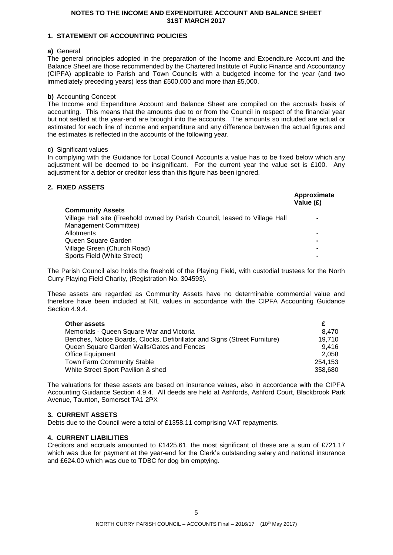#### **NOTES TO THE INCOME AND EXPENDITURE ACCOUNT AND BALANCE SHEET 31ST MARCH 2017**

#### **1. STATEMENT OF ACCOUNTING POLICIES**

#### **a)** General

The general principles adopted in the preparation of the Income and Expenditure Account and the Balance Sheet are those recommended by the Chartered Institute of Public Finance and Accountancy (CIPFA) applicable to Parish and Town Councils with a budgeted income for the year (and two immediately preceding years) less than £500,000 and more than £5,000.

#### **b)** Accounting Concept

The Income and Expenditure Account and Balance Sheet are compiled on the accruals basis of accounting. This means that the amounts due to or from the Council in respect of the financial year but not settled at the year-end are brought into the accounts. The amounts so included are actual or estimated for each line of income and expenditure and any difference between the actual figures and the estimates is reflected in the accounts of the following year.

#### **c)** Significant values

In complying with the Guidance for Local Council Accounts a value has to be fixed below which any adjustment will be deemed to be insignificant. For the current year the value set is £100. Any adjustment for a debtor or creditor less than this figure has been ignored.

### **2. FIXED ASSETS**

| .                                                                           | Approximate<br>Value (£) |
|-----------------------------------------------------------------------------|--------------------------|
| <b>Community Assets</b>                                                     |                          |
| Village Hall site (Freehold owned by Parish Council, leased to Village Hall |                          |
| Management Committee)                                                       |                          |
| Allotments                                                                  |                          |
| Queen Square Garden                                                         |                          |
| Village Green (Church Road)                                                 |                          |
| Sports Field (White Street)                                                 |                          |

The Parish Council also holds the freehold of the Playing Field, with custodial trustees for the North Curry Playing Field Charity, (Registration No. 304593).

These assets are regarded as Community Assets have no determinable commercial value and therefore have been included at NIL values in accordance with the CIPFA Accounting Guidance Section 4.9.4.

| Other assets                                                               |         |
|----------------------------------------------------------------------------|---------|
| Memorials - Queen Square War and Victoria                                  | 8.470   |
| Benches, Notice Boards, Clocks, Defibrillator and Signs (Street Furniture) | 19.710  |
| Queen Square Garden Walls/Gates and Fences                                 | 9.416   |
| <b>Office Equipment</b>                                                    | 2.058   |
| <b>Town Farm Community Stable</b>                                          | 254.153 |
| White Street Sport Pavilion & shed                                         | 358.680 |

The valuations for these assets are based on insurance values, also in accordance with the CIPFA Accounting Guidance Section 4.9.4. All deeds are held at Ashfords, Ashford Court, Blackbrook Park Avenue, Taunton, Somerset TA1 2PX

#### **3. CURRENT ASSETS**

Debts due to the Council were a total of £1358.11 comprising VAT repayments.

#### **4. CURRENT LIABILITIES**

Creditors and accruals amounted to £1425.61, the most significant of these are a sum of £721.17 which was due for payment at the year-end for the Clerk's outstanding salary and national insurance and £624.00 which was due to TDBC for dog bin emptying.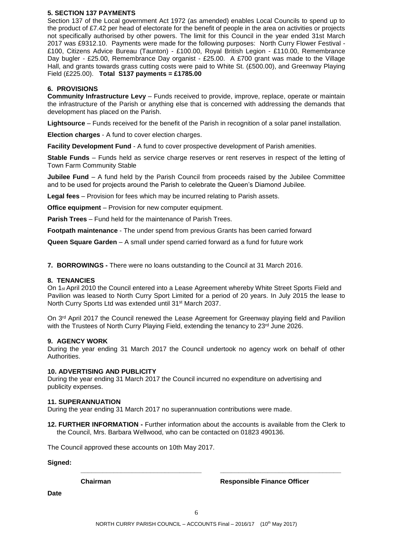#### **5. SECTION 137 PAYMENTS**

Section 137 of the Local government Act 1972 (as amended) enables Local Councils to spend up to the product of £7.42 per head of electorate for the benefit of people in the area on activities or projects not specifically authorised by other powers. The limit for this Council in the year ended 31st March 2017 was £9312.10. Payments were made for the following purposes: North Curry Flower Festival - £100, Citizens Advice Bureau (Taunton) - £100.00, Royal British Legion - £110.00, Remembrance Day bugler - £25.00, Remembrance Day organist - £25.00. A £700 grant was made to the Village Hall, and grants towards grass cutting costs were paid to White St. (£500.00), and Greenway Playing Field (£225.00). **Total S137 payments = £1785.00**

#### **6. PROVISIONS**

**Community Infrastructure Levy** – Funds received to provide, improve, replace, operate or maintain the infrastructure of the Parish or anything else that is concerned with addressing the demands that development has placed on the Parish.

**Lightsource** – Funds received for the benefit of the Parish in recognition of a solar panel installation.

**Election charges** - A fund to cover election charges.

**Facility Development Fund** - A fund to cover prospective development of Parish amenities.

**Stable Funds** – Funds held as service charge reserves or rent reserves in respect of the letting of Town Farm Community Stable

**Jubilee Fund** – A fund held by the Parish Council from proceeds raised by the Jubilee Committee and to be used for projects around the Parish to celebrate the Queen's Diamond Jubilee*.*

**Legal fees** – Provision for fees which may be incurred relating to Parish assets.

**Office equipment** – Provision for new computer equipment.

**Parish Trees** – Fund held for the maintenance of Parish Trees.

**Footpath maintenance** - The under spend from previous Grants has been carried forward

**Queen Square Garden** – A small under spend carried forward as a fund for future work

**7. BORROWINGS -** There were no loans outstanding to the Council at 31 March 2016.

#### **8. TENANCIES**

On 1<sub>st</sub> April 2010 the Council entered into a Lease Agreement whereby White Street Sports Field and Pavilion was leased to North Curry Sport Limited for a period of 20 years. In July 2015 the lease to North Curry Sports Ltd was extended until 31st March 2037.

On 3<sup>rd</sup> April 2017 the Council renewed the Lease Agreement for Greenway playing field and Pavilion with the Trustees of North Curry Playing Field, extending the tenancy to 23rd June 2026.

#### **9. AGENCY WORK**

During the year ending 31 March 2017 the Council undertook no agency work on behalf of other Authorities.

#### **10. ADVERTISING AND PUBLICITY**

During the year ending 31 March 2017 the Council incurred no expenditure on advertising and publicity expenses.

#### **11. SUPERANNUATION**

During the year ending 31 March 2017 no superannuation contributions were made.

**12. FURTHER INFORMATION -** Further information about the accounts is available from the Clerk to the Council, Mrs. Barbara Wellwood, who can be contacted on 01823 490136.

The Council approved these accounts on 10th May 2017.

**Signed:**

**Chairman Responsible Finance Officer**

**Date**

**\_\_\_\_\_\_\_\_\_\_\_\_\_\_\_\_\_\_\_\_\_\_\_\_\_\_\_\_\_\_\_\_\_ \_\_\_\_\_\_\_\_\_\_\_\_\_\_\_\_\_\_\_\_\_\_\_\_\_\_\_\_\_\_\_\_\_**